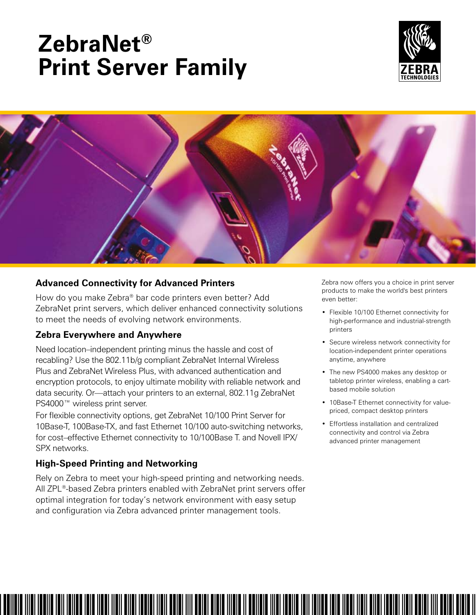# **ZebraNet® Print Server Family**





# **Advanced Connectivity for Advanced Printers**

How do you make Zebra® bar code printers even better? Add ZebraNet print servers, which deliver enhanced connectivity solutions to meet the needs of evolving network environments.

# **Zebra Everywhere and Anywhere**

Need location–independent printing minus the hassle and cost of recabling? Use the 802.11b/g compliant ZebraNet Internal Wireless Plus and ZebraNet Wireless Plus, with advanced authentication and encryption protocols, to enjoy ultimate mobility with reliable network and data security. Or—attach your printers to an external, 802.11g ZebraNet PS4000™ wireless print server.

For flexible connectivity options, get ZebraNet 10/100 Print Server for 10Base-T, 100Base-TX, and fast Ethernet 10/100 auto-switching networks, for cost–effective Ethernet connectivity to 10/100Base T. and Novell IPX/ SPX networks.

# **High-Speed Printing and Networking**

Rely on Zebra to meet your high-speed printing and networking needs. All ZPL®-based Zebra printers enabled with ZebraNet print servers offer optimal integration for today's network environment with easy setup and configuration via Zebra advanced printer management tools.

Zebra now offers you a choice in print server products to make the world's best printers even better:

- Flexible 10/100 Ethernet connectivity for high-performance and industrial-strength printers
- • Secure wireless network connectivity for location-independent printer operations anytime, anywhere
- The new PS4000 makes any desktop or tabletop printer wireless, enabling a cartbased mobile solution
- 10Base-T Ethernet connectivity for valuepriced, compact desktop printers
- • Effortless installation and centralized connectivity and control via Zebra advanced printer management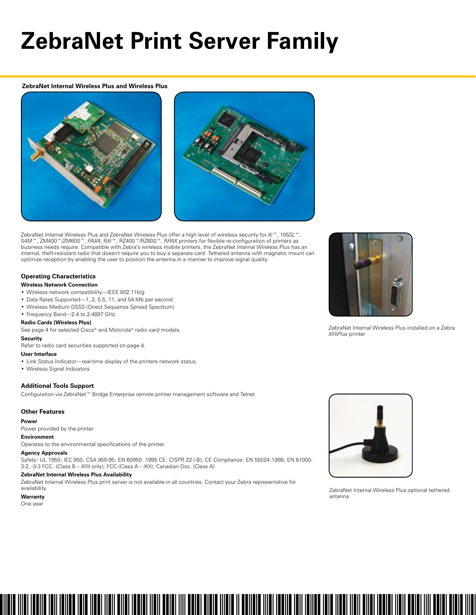# **ZebraNet Print Server Family**

**ZebraNet Internal Wireless Plus and Wireless Plus**





ZebraNet Internal Wireless Plus and ZebraNet Wireless Plus offer a high level of wireless security for *Xi*™, 105*SL*™, S4M™, ZM400™/ZM600™, *PAX*4, R*Xi™*, RZ400™/RZ600™, R*PAX* printers for flexible re-configuration of printers as business needs require. Compatible with Zebra's wireless mobile printers, the ZebraNet Internal Wireless Plus has an internal, theft-resistant radio that doesn't require you to buy a separate card. Tethered antenna with magnetic mount can optimize reception by enabling the user to position the antenna in a manner to improve signal quality.

#### **Operating Characteristics**

#### **Wireless Network Connection**

- • Wireless network compatibility—IEEE 802.11b/g
- Data Rates Supported—1, 2, 5.5, 11, and 54 Mb per second
- • Wireless Medium DSSS (Direct Sequence Spread Spectrum)
- Frequency Band-2.4 to 2.4897 GHz

#### **Radio Cards (Wireless Plus)**

See page 4 for selected Cisco® and Motorola® radio card models.

### **Security**

Refer to radio card securities supported on page 4.

#### **User Interface**

- Link Status Indicator—real-time display of the printers network status.
- • Wireless Signal Indicators

#### **Additional Tools Support**

Configuration via ZebraNet™ Bridge Enterprise remote printer management software and Telnet

#### **Other Features**

#### **Power**

Power provided by the printer

#### **Environment**

Operates to the environmental specifications of the printer.

#### **Agency Approvals**

Safety: UL 1950; IEC 950; CSA 950-95; EN 60950: 1995 CE: CISPR 22 (-B); CE Compliance; EN 55024:1998; EN 61000- 3-2, -3-3 FCC: (Class B – *Xi*III only); FCC (Class A – *Xi*II); Canadian Doc. (Class A)

#### **ZebraNet Internal Wireless Plus Availability**

ZebraNet Internal Wireless Plus print server is not available in all countries. Contact your Zebra representative for availability.

#### **Warranty**

One year



ZebraNet Internal Wireless Plus installed on a Zebra *Xi*III*Plus* printer



ZebraNet Internal Wireless Plus optional tethered antenna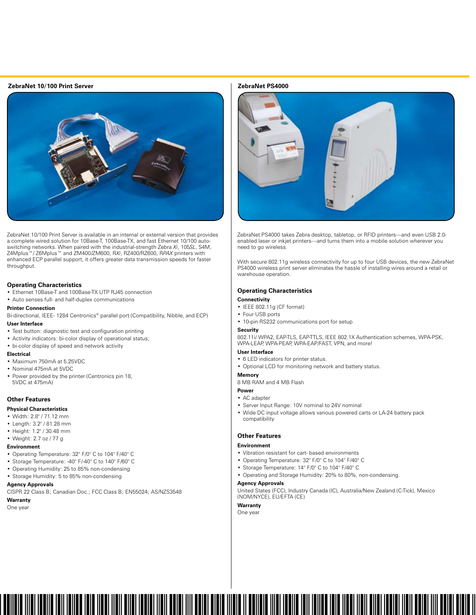#### **ZebraNet 10/100 Print Server ZebraNet PS4000**



ZebraNet 10/100 Print Server is available in an internal or external version that provides a complete wired solution for 10Base-T, 100Base-TX, and fast Ethernet 10/100 autoswitching networks. When paired with the industrial-strength Zebra *Xi*, 105*SL*, S4M, Z4Mplus™/ Z6Mplus™ and ZM400/ZM600, R*Xi*, RZ400/RZ600, R*PAX* printers with enhanced ECP parallel support, it offers greater data transmission speeds for faster throughput.

#### **Operating Characteristics**

• Ethernet 10Base-T and 100Base-TX UTP RJ45 connection

• Auto senses full- and half-duplex communications

#### **Printer Connection**

Bi-directional, IEEE- 1284 Centronics® parallel port (Compatibility, Nibble, and ECP) **User Interface**

- Test button: diagnostic test and configuration printing
- • Activity indicators: bi-color display of operational status;
- • bi-color display of speed and network activity

#### **Electrical**

- • Maximum 750mA at 5.25VDC
- • Nominal 475mA at 5VDC
- Power provided by the printer (Centronics pin 18, 5VDC at 475mA)

#### **Other Features**

#### **Physical Characteristics**

- • Width: 2.8" / 71.12 mm
- • Length: 3.2" / 81.28 mm
- • Height: 1.2" / 30.48 mm
- • Weight: 2.7 oz / 77 g

#### **Environment**

- • Operating Temperature: 32° F/0° C to 104° F/40° C
- • Storage Temperature: -40° F/-40° C to 140° F/60° C
- • Operating Humidity: 25 to 85% non-condensing
- Storage Humidity: 5 to 85% non-condensing

#### **Agency Approvals**

CISPR 22 Class B; Canadian Doc.; FCC Class B; EN55024; AS/NZS3548

#### **Warranty**

One year



ZebraNet PS4000 takes Zebra desktop, tabletop, or RFID printers—and even USB 2.0 enabled laser or inkjet printers—and turns them into a mobile solution wherever you need to go wireless.

With secure 802.11g wireless connectivity for up to four USB devices, the new ZebraNet PS4000 wireless print server eliminates the hassle of installing wires around a retail or warehouse operation.

#### **Operating Characteristics**

#### **Connectivity**

- • IEEE 802.11g (CF format)
- Four USB ports
- 10-pin RS232 communications port for setup
- **Security**

802.11i/ WPA2, EAP-TLS, EAP-TTLS, IEEE 802.1X Authentication schemes, WPA-PSK, WPA-LEAP, WPA-PEAP, WPA-EAP/FAST, VPN, and more!

#### **User Interface**

- 6 LED indicators for printer status.
- • Optional LCD for monitoring network and battery status.

#### **Memory**

- 8 MB RAM and 4 MB Flash
- **Power**

#### • AC adapter

- • Server Input Range: 10V nominal to 24V nominal
- • Wide DC input voltage allows various powered carts or LA-24 battery pack compatibility

### **Other Features**

#### **Environment**

- • Vibration resistant for cart- based environments
- • Operating Temperature: 32° F/0° C to 104° F/40° C
- Storage Temperature: 14° F/0° C to 104° F/40° C
- • Operating and Storage Humidity: 20% to 80%, non-condensing.

#### **Agency Approvals**

United States (FCC), Industry Canada (IC), Australia/New Zealand (C-Tick), Mexico (NOM/NYCE), EU/EFTA (CE)

#### **Warranty** One year